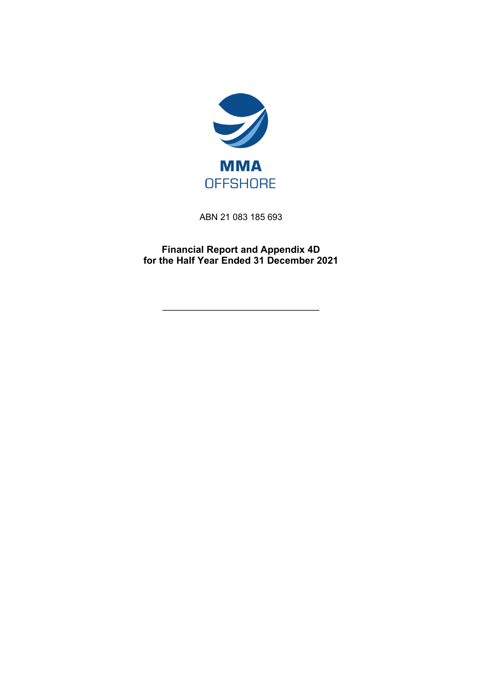

ABN 21 083 185 693

**Financial Report and Appendix 4D for the Half Year Ended 31 December 2021**

\_\_\_\_\_\_\_\_\_\_\_\_\_\_\_\_\_\_\_\_\_\_\_\_\_\_\_\_\_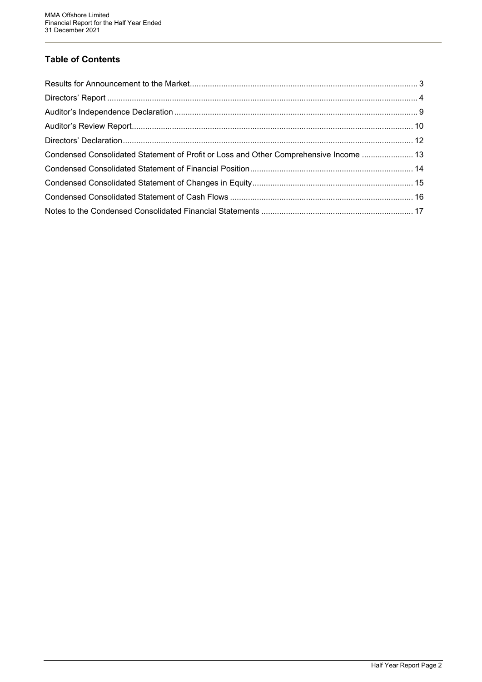# **Table of Contents**

| Condensed Consolidated Statement of Profit or Loss and Other Comprehensive Income  13 |  |
|---------------------------------------------------------------------------------------|--|
|                                                                                       |  |
|                                                                                       |  |
|                                                                                       |  |
|                                                                                       |  |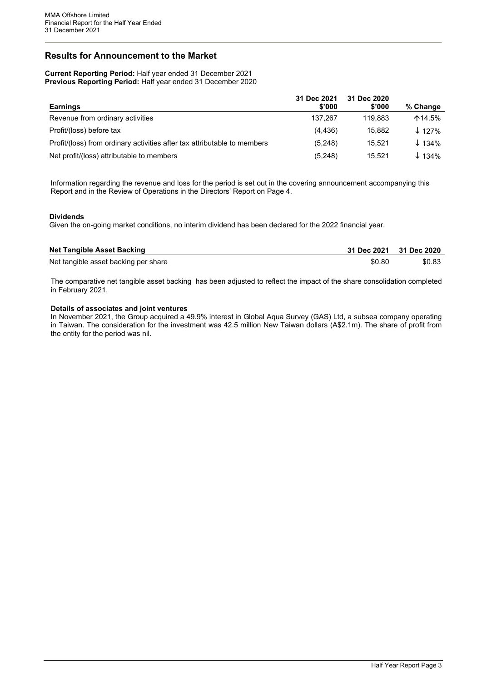# <span id="page-2-0"></span>**Results for Announcement to the Market**

**Current Reporting Period:** Half year ended 31 December 2021 **Previous Reporting Period:** Half year ended 31 December 2020

|                                                                          | 31 Dec 2021 | 31 Dec 2020 |                          |
|--------------------------------------------------------------------------|-------------|-------------|--------------------------|
| <b>Earnings</b>                                                          | \$'000      | \$'000      | % Change                 |
| Revenue from ordinary activities                                         | 137.267     | 119.883     | $\mathsf{\Lambda}14.5\%$ |
| Profit/(loss) before tax                                                 | (4, 436)    | 15.882      | $\downarrow$ 127%        |
| Profit/(loss) from ordinary activities after tax attributable to members | (5,248)     | 15.521      | $\downarrow$ 134%        |
| Net profit/(loss) attributable to members                                | (5,248)     | 15.521      | $\downarrow$ 134%        |

Information regarding the revenue and loss for the period is set out in the covering announcement accompanying this Report and in the Review of Operations in the Directors' Report on Page 4.

#### **Dividends**

Given the on-going market conditions, no interim dividend has been declared for the 2022 financial year.

| <b>Net Tangible Asset Backing</b>    | 31 Dec 2021 31 Dec 2020 |        |
|--------------------------------------|-------------------------|--------|
| Net tangible asset backing per share | \$0.80                  | \$0.83 |

The comparative net tangible asset backing has been adjusted to reflect the impact of the share consolidation completed in February 2021.

#### **Details of associates and joint ventures**

In November 2021, the Group acquired a 49.9% interest in Global Aqua Survey (GAS) Ltd, a subsea company operating in Taiwan. The consideration for the investment was 42.5 million New Taiwan dollars (A\$2.1m). The share of profit from the entity for the period was nil.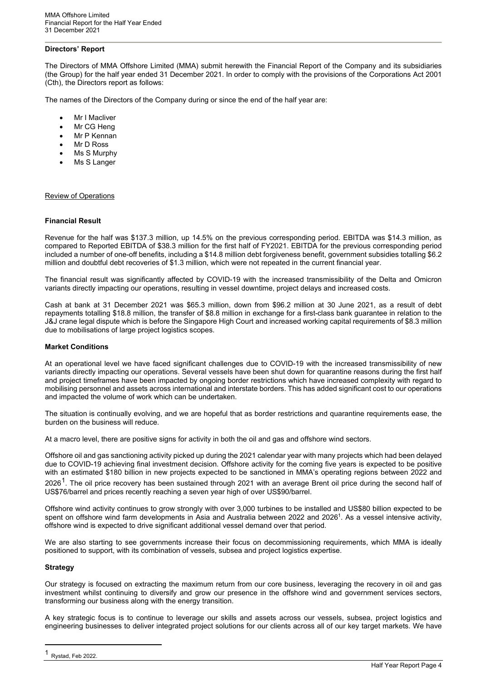#### <span id="page-3-0"></span>**Directors' Report**

The Directors of MMA Offshore Limited (MMA) submit herewith the Financial Report of the Company and its subsidiaries (the Group) for the half year ended 31 December 2021. In order to comply with the provisions of the Corporations Act 2001 (Cth), the Directors report as follows:

The names of the Directors of the Company during or since the end of the half year are:

- **Mr I Macliver**
- Mr CG Heng
- Mr P Kennan
- Mr D Ross
- Ms S Murphy
- Ms S Langer

Review of Operations

#### **Financial Result**

Revenue for the half was \$137.3 million, up 14.5% on the previous corresponding period. EBITDA was \$14.3 million, as compared to Reported EBITDA of \$38.3 million for the first half of FY2021. EBITDA for the previous corresponding period included a number of one-off benefits, including a \$14.8 million debt forgiveness benefit, government subsidies totalling \$6.2 million and doubtful debt recoveries of \$1.3 million, which were not repeated in the current financial year.

The financial result was significantly affected by COVID-19 with the increased transmissibility of the Delta and Omicron variants directly impacting our operations, resulting in vessel downtime, project delays and increased costs.

Cash at bank at 31 December 2021 was \$65.3 million, down from \$96.2 million at 30 June 2021, as a result of debt repayments totalling \$18.8 million, the transfer of \$8.8 million in exchange for a first-class bank guarantee in relation to the J&J crane legal dispute which is before the Singapore High Court and increased working capital requirements of \$8.3 million due to mobilisations of large project logistics scopes.

#### **Market Conditions**

At an operational level we have faced significant challenges due to COVID-19 with the increased transmissibility of new variants directly impacting our operations. Several vessels have been shut down for quarantine reasons during the first half and project timeframes have been impacted by ongoing border restrictions which have increased complexity with regard to mobilising personnel and assets across international and interstate borders. This has added significant cost to our operations and impacted the volume of work which can be undertaken.

The situation is continually evolving, and we are hopeful that as border restrictions and quarantine requirements ease, the burden on the business will reduce.

At a macro level, there are positive signs for activity in both the oil and gas and offshore wind sectors.

Offshore oil and gas sanctioning activity picked up during the 2021 calendar year with many projects which had been delayed due to COVID-19 achieving final investment decision. Offshore activity for the coming five years is expected to be positive with an estimated \$180 billion in new projects expected to be sanctioned in MMA's operating regions between 2022 and  $2026<sup>1</sup>$ . The oil price recovery has been sustained through 2021 with an average Brent oil price during the second half of US\$76/barrel and prices recently reaching a seven year high of over US\$90/barrel.

Offshore wind activity continues to grow strongly with over 3,000 turbines to be installed and US\$80 billion expected to be spent on offshore wind farm developments in Asia and Australia between 2022 and 2026<sup>1</sup>. As a vessel intensive activity, offshore wind is expected to drive significant additional vessel demand over that period.

We are also starting to see governments increase their focus on decommissioning requirements, which MMA is ideally positioned to support, with its combination of vessels, subsea and project logistics expertise.

#### **Strategy**

Our strategy is focused on extracting the maximum return from our core business, leveraging the recovery in oil and gas investment whilst continuing to diversify and grow our presence in the offshore wind and government services sectors, transforming our business along with the energy transition.

A key strategic focus is to continue to leverage our skills and assets across our vessels, subsea, project logistics and engineering businesses to deliver integrated project solutions for our clients across all of our key target markets. We have

<span id="page-3-1"></span>Rystad, Feb 2022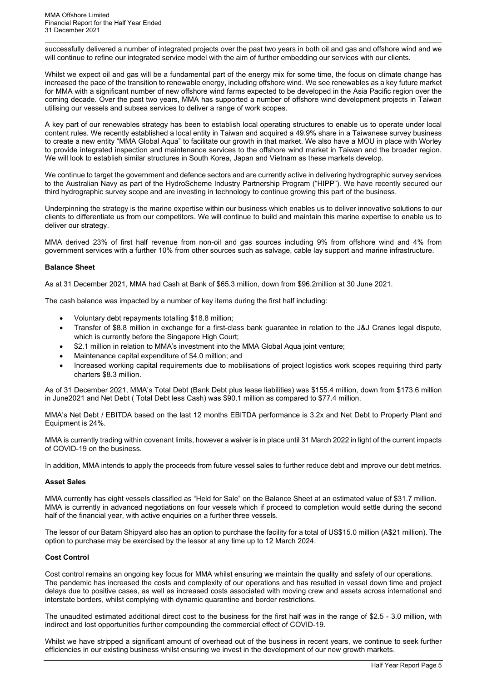successfully delivered a number of integrated projects over the past two years in both oil and gas and offshore wind and we will continue to refine our integrated service model with the aim of further embedding our services with our clients.

Whilst we expect oil and gas will be a fundamental part of the energy mix for some time, the focus on climate change has increased the pace of the transition to renewable energy, including offshore wind. We see renewables as a key future market for MMA with a significant number of new offshore wind farms expected to be developed in the Asia Pacific region over the coming decade. Over the past two years, MMA has supported a number of offshore wind development projects in Taiwan utilising our vessels and subsea services to deliver a range of work scopes.

A key part of our renewables strategy has been to establish local operating structures to enable us to operate under local content rules. We recently established a local entity in Taiwan and acquired a 49.9% share in a Taiwanese survey business to create a new entity "MMA Global Aqua" to facilitate our growth in that market. We also have a MOU in place with Worley to provide integrated inspection and maintenance services to the offshore wind market in Taiwan and the broader region. We will look to establish similar structures in South Korea, Japan and Vietnam as these markets develop.

We continue to target the government and defence sectors and are currently active in delivering hydrographic survey services to the Australian Navy as part of the HydroScheme Industry Partnership Program ("HIPP"). We have recently secured our third hydrographic survey scope and are investing in technology to continue growing this part of the business.

Underpinning the strategy is the marine expertise within our business which enables us to deliver innovative solutions to our clients to differentiate us from our competitors. We will continue to build and maintain this marine expertise to enable us to deliver our strategy.

MMA derived 23% of first half revenue from non-oil and gas sources including 9% from offshore wind and 4% from government services with a further 10% from other sources such as salvage, cable lay support and marine infrastructure.

#### **Balance Sheet**

As at 31 December 2021, MMA had Cash at Bank of \$65.3 million, down from \$96.2million at 30 June 2021.

The cash balance was impacted by a number of key items during the first half including:

- Voluntary debt repayments totalling \$18.8 million;
- Transfer of \$8.8 million in exchange for a first-class bank guarantee in relation to the J&J Cranes legal dispute, which is currently before the Singapore High Court;
- \$2.1 million in relation to MMA's investment into the MMA Global Aqua joint venture;
- Maintenance capital expenditure of \$4.0 million; and
- Increased working capital requirements due to mobilisations of project logistics work scopes requiring third party charters \$8.3 million.

As of 31 December 2021, MMA's Total Debt (Bank Debt plus lease liabilities) was \$155.4 million, down from \$173.6 million in June2021 and Net Debt ( Total Debt less Cash) was \$90.1 million as compared to \$77.4 million.

MMA's Net Debt / EBITDA based on the last 12 months EBITDA performance is 3.2x and Net Debt to Property Plant and Equipment is 24%.

MMA is currently trading within covenant limits, however a waiver is in place until 31 March 2022 in light of the current impacts of COVID-19 on the business.

In addition, MMA intends to apply the proceeds from future vessel sales to further reduce debt and improve our debt metrics.

#### **Asset Sales**

MMA currently has eight vessels classified as "Held for Sale" on the Balance Sheet at an estimated value of \$31.7 million. MMA is currently in advanced negotiations on four vessels which if proceed to completion would settle during the second half of the financial year, with active enquiries on a further three vessels.

The lessor of our Batam Shipyard also has an option to purchase the facility for a total of US\$15.0 million (A\$21 million). The option to purchase may be exercised by the lessor at any time up to 12 March 2024.

#### **Cost Control**

Cost control remains an ongoing key focus for MMA whilst ensuring we maintain the quality and safety of our operations. The pandemic has increased the costs and complexity of our operations and has resulted in vessel down time and project delays due to positive cases, as well as increased costs associated with moving crew and assets across international and interstate borders, whilst complying with dynamic quarantine and border restrictions.

The unaudited estimated additional direct cost to the business for the first half was in the range of \$2.5 - 3.0 million, with indirect and lost opportunities further compounding the commercial effect of COVID-19.

Whilst we have stripped a significant amount of overhead out of the business in recent years, we continue to seek further efficiencies in our existing business whilst ensuring we invest in the development of our new growth markets.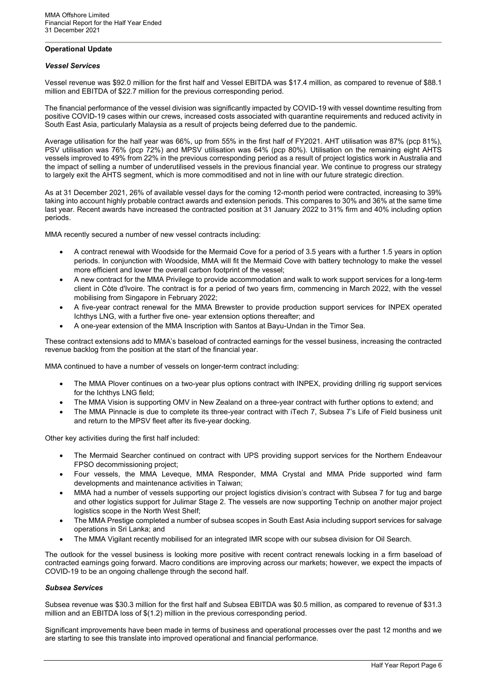### **Operational Update**

#### *Vessel Services*

Vessel revenue was \$92.0 million for the first half and Vessel EBITDA was \$17.4 million, as compared to revenue of \$88.1 million and EBITDA of \$22.7 million for the previous corresponding period.

The financial performance of the vessel division was significantly impacted by COVID-19 with vessel downtime resulting from positive COVID-19 cases within our crews, increased costs associated with quarantine requirements and reduced activity in South East Asia, particularly Malaysia as a result of projects being deferred due to the pandemic.

Average utilisation for the half year was 66%, up from 55% in the first half of FY2021. AHT utilisation was 87% (pcp 81%), PSV utilisation was 76% (pcp 72%) and MPSV utilisation was 64% (pcp 80%). Utilisation on the remaining eight AHTS vessels improved to 49% from 22% in the previous corresponding period as a result of project logistics work in Australia and the impact of selling a number of underutilised vessels in the previous financial year. We continue to progress our strategy to largely exit the AHTS segment, which is more commoditised and not in line with our future strategic direction.

As at 31 December 2021, 26% of available vessel days for the coming 12-month period were contracted, increasing to 39% taking into account highly probable contract awards and extension periods. This compares to 30% and 36% at the same time last year. Recent awards have increased the contracted position at 31 January 2022 to 31% firm and 40% including option periods.

MMA recently secured a number of new vessel contracts including:

- A contract renewal with Woodside for the Mermaid Cove for a period of 3.5 years with a further 1.5 years in option periods. In conjunction with Woodside, MMA will fit the Mermaid Cove with battery technology to make the vessel more efficient and lower the overall carbon footprint of the vessel;
- A new contract for the MMA Privilege to provide accommodation and walk to work support services for a long-term client in Côte d'Ivoire. The contract is for a period of two years firm, commencing in March 2022, with the vessel mobilising from Singapore in February 2022;
- A five-year contract renewal for the MMA Brewster to provide production support services for INPEX operated Ichthys LNG, with a further five one- year extension options thereafter; and
- A one-year extension of the MMA Inscription with Santos at Bayu-Undan in the Timor Sea.

These contract extensions add to MMA's baseload of contracted earnings for the vessel business, increasing the contracted revenue backlog from the position at the start of the financial year.

MMA continued to have a number of vessels on longer-term contract including:

- The MMA Plover continues on a two-year plus options contract with INPEX, providing drilling rig support services for the Ichthys LNG field;
- The MMA Vision is supporting OMV in New Zealand on a three-year contract with further options to extend; and
- The MMA Pinnacle is due to complete its three-year contract with iTech 7, Subsea 7's Life of Field business unit and return to the MPSV fleet after its five-year docking.

Other key activities during the first half included:

- The Mermaid Searcher continued on contract with UPS providing support services for the Northern Endeavour FPSO decommissioning project;
- Four vessels, the MMA Leveque, MMA Responder, MMA Crystal and MMA Pride supported wind farm developments and maintenance activities in Taiwan;
- MMA had a number of vessels supporting our project logistics division's contract with Subsea 7 for tug and barge and other logistics support for Julimar Stage 2. The vessels are now supporting Technip on another major project logistics scope in the North West Shelf;
- The MMA Prestige completed a number of subsea scopes in South East Asia including support services for salvage operations in Sri Lanka; and
- The MMA Vigilant recently mobilised for an integrated IMR scope with our subsea division for Oil Search.

The outlook for the vessel business is looking more positive with recent contract renewals locking in a firm baseload of contracted earnings going forward. Macro conditions are improving across our markets; however, we expect the impacts of COVID-19 to be an ongoing challenge through the second half.

#### *Subsea Services*

Subsea revenue was \$30.3 million for the first half and Subsea EBITDA was \$0.5 million, as compared to revenue of \$31.3 million and an EBITDA loss of \$(1.2) million in the previous corresponding period.

Significant improvements have been made in terms of business and operational processes over the past 12 months and we are starting to see this translate into improved operational and financial performance.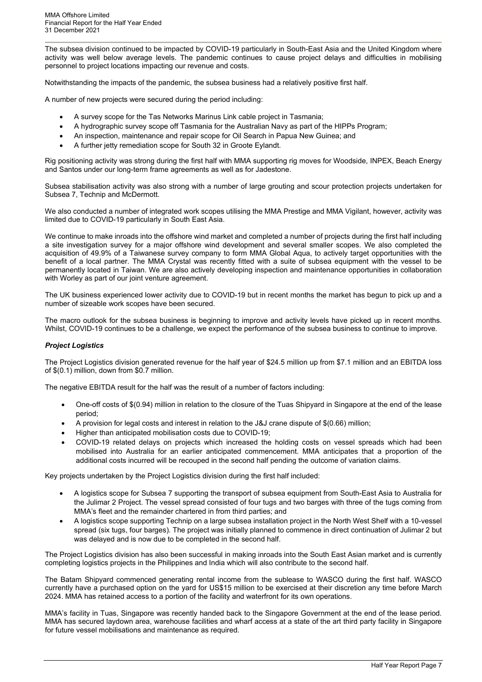The subsea division continued to be impacted by COVID-19 particularly in South-East Asia and the United Kingdom where activity was well below average levels. The pandemic continues to cause project delays and difficulties in mobilising personnel to project locations impacting our revenue and costs.

Notwithstanding the impacts of the pandemic, the subsea business had a relatively positive first half.

A number of new projects were secured during the period including:

- A survey scope for the Tas Networks Marinus Link cable project in Tasmania;
- A hydrographic survey scope off Tasmania for the Australian Navy as part of the HIPPs Program;
- An inspection, maintenance and repair scope for Oil Search in Papua New Guinea; and
- A further jetty remediation scope for South 32 in Groote Eylandt.

Rig positioning activity was strong during the first half with MMA supporting rig moves for Woodside, INPEX, Beach Energy and Santos under our long-term frame agreements as well as for Jadestone.

Subsea stabilisation activity was also strong with a number of large grouting and scour protection projects undertaken for Subsea 7, Technip and McDermott.

We also conducted a number of integrated work scopes utilising the MMA Prestige and MMA Vigilant, however, activity was limited due to COVID-19 particularly in South East Asia.

We continue to make inroads into the offshore wind market and completed a number of projects during the first half including a site investigation survey for a major offshore wind development and several smaller scopes. We also completed the acquisition of 49.9% of a Taiwanese survey company to form MMA Global Aqua, to actively target opportunities with the benefit of a local partner. The MMA Crystal was recently fitted with a suite of subsea equipment with the vessel to be permanently located in Taiwan. We are also actively developing inspection and maintenance opportunities in collaboration with Worley as part of our joint venture agreement.

The UK business experienced lower activity due to COVID-19 but in recent months the market has begun to pick up and a number of sizeable work scopes have been secured.

The macro outlook for the subsea business is beginning to improve and activity levels have picked up in recent months. Whilst, COVID-19 continues to be a challenge, we expect the performance of the subsea business to continue to improve.

#### *Project Logistics*

The Project Logistics division generated revenue for the half year of \$24.5 million up from \$7.1 million and an EBITDA loss of \$(0.1) million, down from \$0.7 million.

The negative EBITDA result for the half was the result of a number of factors including:

- One-off costs of \$(0.94) million in relation to the closure of the Tuas Shipyard in Singapore at the end of the lease period;
- A provision for legal costs and interest in relation to the J&J crane dispute of \$(0.66) million;
- Higher than anticipated mobilisation costs due to COVID-19;
- COVID-19 related delays on projects which increased the holding costs on vessel spreads which had been mobilised into Australia for an earlier anticipated commencement. MMA anticipates that a proportion of the additional costs incurred will be recouped in the second half pending the outcome of variation claims.

Key projects undertaken by the Project Logistics division during the first half included:

- A logistics scope for Subsea 7 supporting the transport of subsea equipment from South-East Asia to Australia for the Julimar 2 Project. The vessel spread consisted of four tugs and two barges with three of the tugs coming from MMA's fleet and the remainder chartered in from third parties; and
- A logistics scope supporting Technip on a large subsea installation project in the North West Shelf with a 10-vessel spread (six tugs, four barges). The project was initially planned to commence in direct continuation of Julimar 2 but was delayed and is now due to be completed in the second half.

The Project Logistics division has also been successful in making inroads into the South East Asian market and is currently completing logistics projects in the Philippines and India which will also contribute to the second half.

The Batam Shipyard commenced generating rental income from the sublease to WASCO during the first half. WASCO currently have a purchased option on the yard for US\$15 million to be exercised at their discretion any time before March 2024. MMA has retained access to a portion of the facility and waterfront for its own operations.

MMA's facility in Tuas, Singapore was recently handed back to the Singapore Government at the end of the lease period. MMA has secured laydown area, warehouse facilities and wharf access at a state of the art third party facility in Singapore for future vessel mobilisations and maintenance as required.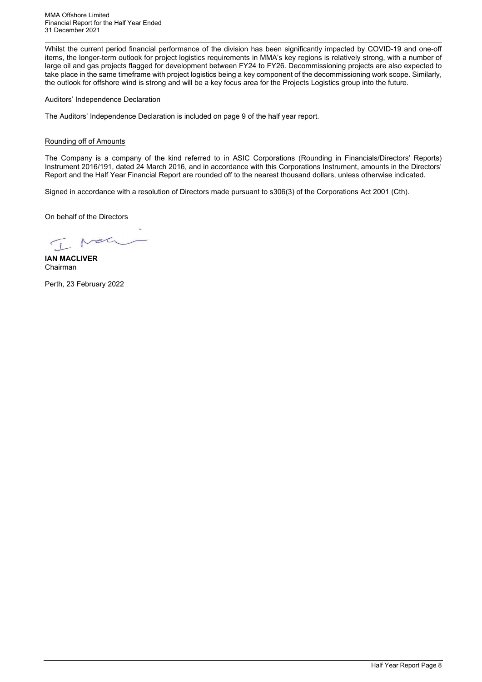Whilst the current period financial performance of the division has been significantly impacted by COVID-19 and one-off items, the longer-term outlook for project logistics requirements in MMA's key regions is relatively strong, with a number of large oil and gas projects flagged for development between FY24 to FY26. Decommissioning projects are also expected to take place in the same timeframe with project logistics being a key component of the decommissioning work scope. Similarly, the outlook for offshore wind is strong and will be a key focus area for the Projects Logistics group into the future.

#### Auditors' Independence Declaration

The Auditors' Independence Declaration is included on page 9 of the half year report.

#### Rounding off of Amounts

The Company is a company of the kind referred to in ASIC Corporations (Rounding in Financials/Directors' Reports) Instrument 2016/191, dated 24 March 2016, and in accordance with this Corporations Instrument, amounts in the Directors' Report and the Half Year Financial Report are rounded off to the nearest thousand dollars, unless otherwise indicated.

Signed in accordance with a resolution of Directors made pursuant to s306(3) of the Corporations Act 2001 (Cth).

On behalf of the Directors

Nel  $\sqrt{1}$ 

**IAN MACLIVER** Chairman

Perth, 23 February 2022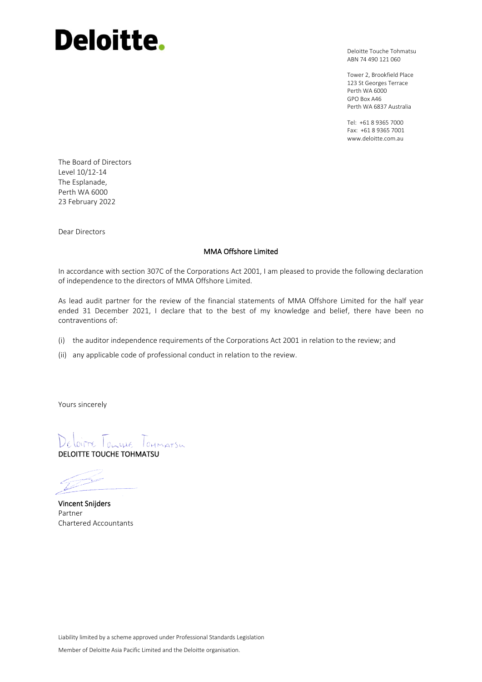# **Deloitte.**

Deloitte Touche Tohmatsu ABN 74 490 121 060

Tower 2, Brookfield Place 123 St Georges Terrace Perth WA 6000 GPO Box A46 Perth WA 6837 Australia

Tel: +61 8 9365 7000 Fax: +61 8 9365 7001 www.deloitte.com.au

The Board of Directors Level 10/12-14 The Esplanade, Perth WA 6000 23 February 2022

Dear Directors

#### MMA Offshore Limited

In accordance with section 307C of the Corporations Act 2001, I am pleased to provide the following declaration of independence to the directors of MMA Offshore Limited.

As lead audit partner for the review of the financial statements of MMA Offshore Limited for the half year ended 31 December 2021, I declare that to the best of my knowledge and belief, there have been no contraventions of:

- (i) the auditor independence requirements of the Corporations Act 2001 in relation to the review; and
- (ii) any applicable code of professional conduct in relation to the review.

Yours sincerely

LOITTE TOWALE TOHMATSW DELOITTE TOUCHE TOHMATSU

Vincent Snijders Partner Chartered Accountants

Liability limited by a scheme approved under Professional Standards Legislation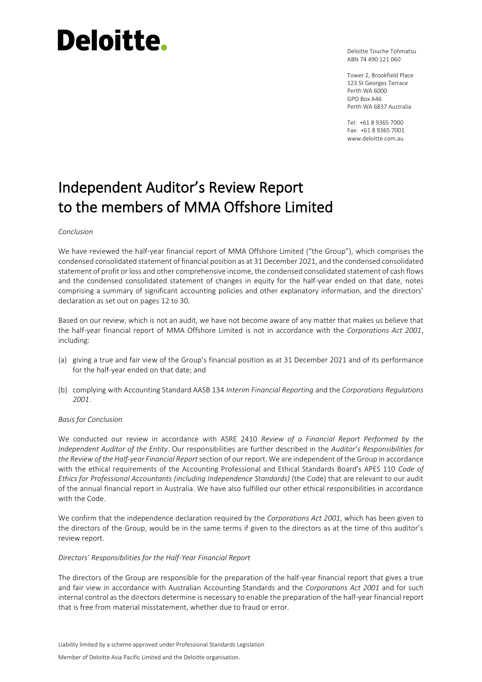# Deloitte.

Deloitte Touche Tohmatsu ABN 74 490 121 060

Tower 2, Brookfield Place 123 St Georges Terrace Perth WA 6000 GPO Box A46 Perth WA 6837 Australia

Tel: +61 8 9365 7000 Fax: +61 8 9365 7001 www.deloitte.com.au

# Independent Auditor's Review Report to the members of MMA Offshore Limited

#### *Conclusion*

We have reviewed the half-year financial report of MMA Offshore Limited ("the Group"), which comprises the condensed consolidated statement of financial position as at 31 December 2021, and the condensed consolidated statement of profit or loss and other comprehensive income, the condensed consolidated statement of cash flows and the condensed consolidated statement of changes in equity for the half-year ended on that date, notes comprising a summary of significant accounting policies and other explanatory information, and the directors' declaration as set out on pages 12 to 30.

Based on our review, which is not an audit, we have not become aware of any matter that makes us believe that the half-year financial report of MMA Offshore Limited is not in accordance with the *Corporations Act 2001*, including:

- (a) giving a true and fair view of the Group's financial position as at 31 December 2021 and of its performance for the half-year ended on that date; and
- (b) complying with Accounting Standard AASB 134 *Interim Financial Reporting* and the *Corporations Regulations 2001*.

#### *Basis for Conclusion*

We conducted our review in accordance with ASRE 2410 *Review of a Financial Report Performed by the Independent Auditor of the Entity*. Our responsibilities are further described in the *Auditor's Responsibilities for the Review of the Half-year Financial Report*section of our report. We are independent of the Group in accordance with the ethical requirements of the Accounting Professional and Ethical Standards Board's APES 110 *Code of Ethics for Professional Accountants (including Independence Standards)* (the Code) that are relevant to our audit of the annual financial report in Australia. We have also fulfilled our other ethical responsibilities in accordance with the Code.

We confirm that the independence declaration required by the *Corporations Act 2001*, which has been given to the directors of the Group, would be in the same terms if given to the directors as at the time of this auditor's review report.

#### *Directors' Responsibilities for the Half-Year Financial Report*

The directors of the Group are responsible for the preparation of the half-year financial report that gives a true and fair view in accordance with Australian Accounting Standards and the *Corporations Act 2001* and for such internal control as the directors determine is necessary to enable the preparation of the half-year financial report that is free from material misstatement, whether due to fraud or error.

Liability limited by a scheme approved under Professional Standards Legislation

Member of Deloitte Asia Pacific Limited and the Deloitte organisation.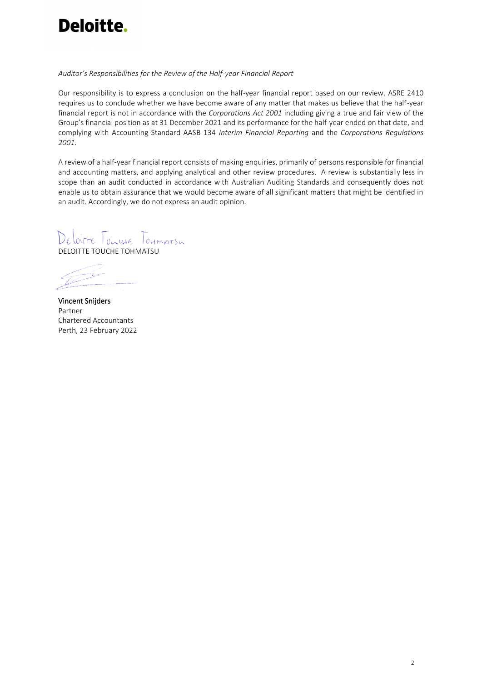

#### *Auditor's Responsibilities for the Review of the Half-year Financial Report*

Our responsibility is to express a conclusion on the half-year financial report based on our review. ASRE 2410 requires us to conclude whether we have become aware of any matter that makes us believe that the half-year financial report is not in accordance with the *Corporations Act 2001* including giving a true and fair view of the Group's financial position as at 31 December 2021 and its performance for the half-year ended on that date, and complying with Accounting Standard AASB 134 *Interim Financial Reporting* and the *Corporations Regulations 2001*.

A review of a half-year financial report consists of making enquiries, primarily of persons responsible for financial and accounting matters, and applying analytical and other review procedures. A review is substantially less in scope than an audit conducted in accordance with Australian Auditing Standards and consequently does not enable us to obtain assurance that we would become aware of all significant matters that might be identified in an audit. Accordingly, we do not express an audit opinion.

WITTE TOWALE TOHMATSW DELOITTE TOUCHE TOHMATSU

Vincent Snijders Partner Chartered Accountants Perth, 23 February 2022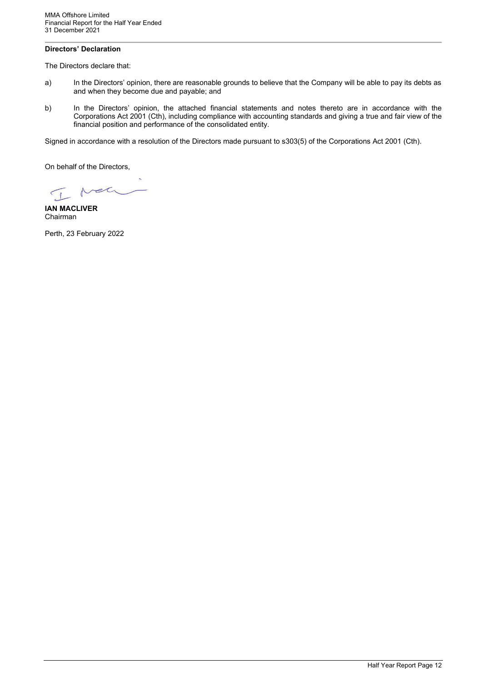# <span id="page-11-0"></span>**Directors' Declaration**

The Directors declare that:

- a) In the Directors' opinion, there are reasonable grounds to believe that the Company will be able to pay its debts as and when they become due and payable; and
- b) In the Directors' opinion, the attached financial statements and notes thereto are in accordance with the Corporations Act 2001 (Cth), including compliance with accounting standards and giving a true and fair view of the financial position and performance of the consolidated entity.

Signed in accordance with a resolution of the Directors made pursuant to s303(5) of the Corporations Act 2001 (Cth).

On behalf of the Directors,

Net  $\sqrt{1}$ 

**IAN MACLIVER** Chairman

Perth, 23 February 2022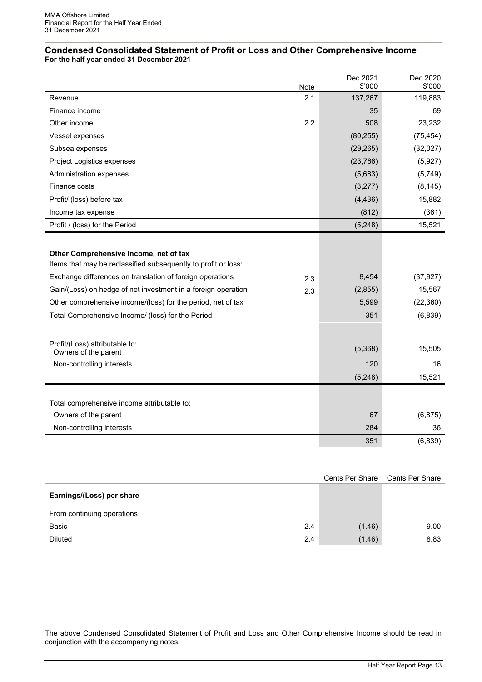#### <span id="page-12-0"></span>**Condensed Consolidated Statement of Profit or Loss and Other Comprehensive Income For the half year ended 31 December 2021**

|                                                                |             | Dec 2021<br>\$'000 | Dec 2020<br>\$'000 |
|----------------------------------------------------------------|-------------|--------------------|--------------------|
| Revenue                                                        | Note<br>2.1 | 137,267            | 119,883            |
| Finance income                                                 |             | 35                 | 69                 |
|                                                                |             |                    |                    |
| Other income                                                   | 2.2         | 508                | 23,232             |
| Vessel expenses                                                |             | (80, 255)          | (75, 454)          |
| Subsea expenses                                                |             | (29, 265)          | (32,027)           |
| Project Logistics expenses                                     |             | (23, 766)          | (5,927)            |
| Administration expenses                                        |             | (5,683)            | (5,749)            |
| Finance costs                                                  |             | (3,277)            | (8, 145)           |
| Profit/ (loss) before tax                                      |             | (4, 436)           | 15,882             |
| Income tax expense                                             |             | (812)              | (361)              |
| Profit / (loss) for the Period                                 |             | (5,248)            | 15,521             |
|                                                                |             |                    |                    |
| Other Comprehensive Income, net of tax                         |             |                    |                    |
| Items that may be reclassified subsequently to profit or loss: |             |                    |                    |
| Exchange differences on translation of foreign operations      | 2.3         | 8,454              | (37, 927)          |
| Gain/(Loss) on hedge of net investment in a foreign operation  | 2.3         | (2,855)            | 15,567             |
| Other comprehensive income/(loss) for the period, net of tax   |             | 5,599              | (22, 360)          |
| Total Comprehensive Income/ (loss) for the Period              |             | 351                | (6, 839)           |
|                                                                |             |                    |                    |
| Profit/(Loss) attributable to:                                 |             |                    |                    |
| Owners of the parent                                           |             | (5,368)            | 15,505             |
| Non-controlling interests                                      |             | 120                | 16                 |
|                                                                |             | (5,248)            | 15,521             |
|                                                                |             |                    |                    |
| Total comprehensive income attributable to:                    |             |                    |                    |
| Owners of the parent                                           |             | 67                 | (6, 875)           |
| Non-controlling interests                                      |             | 284                | 36                 |
|                                                                |             | 351                | (6, 839)           |

|                            |     | Cents Per Share | Cents Per Share |
|----------------------------|-----|-----------------|-----------------|
| Earnings/(Loss) per share  |     |                 |                 |
| From continuing operations |     |                 |                 |
| Basic                      | 2.4 | (1.46)          | 9.00            |
| <b>Diluted</b>             | 2.4 | (1.46)          | 8.83            |

The above Condensed Consolidated Statement of Profit and Loss and Other Comprehensive Income should be read in conjunction with the accompanying notes.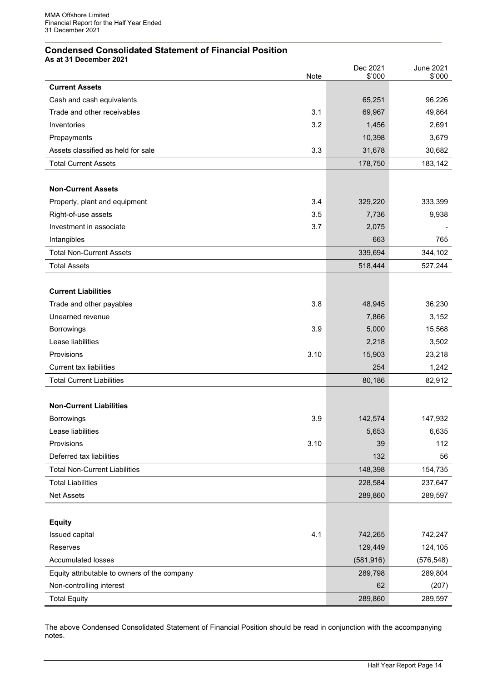# <span id="page-13-0"></span>**Condensed Consolidated Statement of Financial Position**

**As at 31 December 2021**

|                                              |      | Dec 2021<br>\$'000 | <b>June 2021</b> |
|----------------------------------------------|------|--------------------|------------------|
| <b>Current Assets</b>                        | Note |                    | \$'000           |
| Cash and cash equivalents                    |      | 65,251             | 96,226           |
| Trade and other receivables                  | 3.1  | 69,967             | 49,864           |
| Inventories                                  | 3.2  | 1,456              | 2,691            |
| Prepayments                                  |      | 10,398             | 3,679            |
| Assets classified as held for sale           | 3.3  | 31,678             | 30,682           |
| <b>Total Current Assets</b>                  |      | 178,750            | 183,142          |
|                                              |      |                    |                  |
| <b>Non-Current Assets</b>                    |      |                    |                  |
| Property, plant and equipment                | 3.4  | 329,220            | 333,399          |
| Right-of-use assets                          | 3.5  | 7,736              | 9,938            |
| Investment in associate                      | 3.7  | 2,075              |                  |
| Intangibles                                  |      | 663                | 765              |
| <b>Total Non-Current Assets</b>              |      | 339,694            | 344,102          |
| <b>Total Assets</b>                          |      | 518,444            | 527,244          |
|                                              |      |                    |                  |
| <b>Current Liabilities</b>                   |      |                    |                  |
| Trade and other payables                     | 3.8  | 48,945             | 36,230           |
| Unearned revenue                             |      | 7,866              | 3,152            |
| <b>Borrowings</b>                            | 3.9  | 5,000              | 15,568           |
| Lease liabilities                            |      | 2,218              | 3,502            |
| Provisions                                   | 3.10 | 15,903             | 23,218           |
| <b>Current tax liabilities</b>               |      | 254                | 1,242            |
| <b>Total Current Liabilities</b>             |      | 80,186             | 82,912           |
|                                              |      |                    |                  |
| <b>Non-Current Liabilities</b>               |      |                    |                  |
| <b>Borrowings</b>                            | 3.9  | 142,574            | 147,932          |
| Lease liabilities                            |      | 5,653              | 6,635            |
| Provisions                                   | 3.10 | 39                 | 112              |
| Deferred tax liabilities                     |      | 132                | 56               |
| <b>Total Non-Current Liabilities</b>         |      | 148,398            | 154,735          |
| <b>Total Liabilities</b>                     |      | 228,584            | 237,647          |
| Net Assets                                   |      | 289,860            | 289,597          |
|                                              |      |                    |                  |
| <b>Equity</b>                                |      |                    |                  |
| Issued capital                               | 4.1  | 742,265            | 742,247          |
| Reserves                                     |      | 129,449            | 124,105          |
| <b>Accumulated losses</b>                    |      | (581, 916)         | (576, 548)       |
| Equity attributable to owners of the company |      | 289,798            | 289,804          |
| Non-controlling interest                     |      | 62                 | (207)            |
| <b>Total Equity</b>                          |      | 289,860            | 289,597          |

<span id="page-13-1"></span>The above Condensed Consolidated Statement of Financial Position should be read in conjunction with the accompanying notes.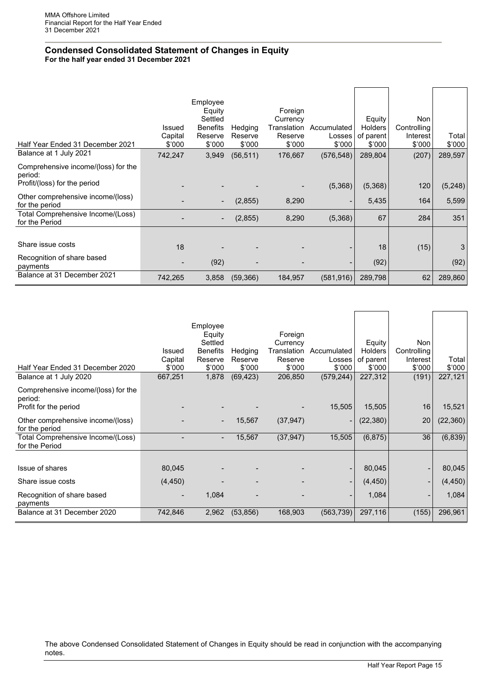# **Condensed Consolidated Statement of Changes in Equity For the half year ended 31 December 2021**

| Half Year Ended 31 December 2021                                               | <b>Issued</b><br>Capital<br>\$'000 | Employee<br>Equity<br>Settled<br><b>Benefits</b><br>Reserve<br>\$'000 | Hedging<br>Reserve<br>\$'000 | Foreign<br>Currency<br>Translation<br>Reserve<br>\$'000 | Accumulated<br>Losses<br>\$'000 | Equity<br><b>Holders</b><br>of parent<br>\$'000 | Non<br>Controlling<br>Interest<br>\$'000 | Total<br>\$'000 |
|--------------------------------------------------------------------------------|------------------------------------|-----------------------------------------------------------------------|------------------------------|---------------------------------------------------------|---------------------------------|-------------------------------------------------|------------------------------------------|-----------------|
| Balance at 1 July 2021                                                         | 742,247                            | 3,949                                                                 | (56, 511)                    | 176,667                                                 | (576, 548)                      | 289,804                                         | (207)                                    | 289,597         |
| Comprehensive income/(loss) for the<br>period:<br>Profit/(loss) for the period |                                    |                                                                       |                              |                                                         | (5,368)                         | (5,368)                                         | 120                                      | (5,248)         |
| Other comprehensive income/(loss)<br>for the period                            |                                    |                                                                       | (2,855)                      | 8,290                                                   | -                               | 5,435                                           | 164                                      | 5,599           |
| Total Comprehensive Income/(Loss)<br>for the Period                            |                                    |                                                                       | (2,855)                      | 8,290                                                   | (5,368)                         | 67                                              | 284                                      | 351             |
|                                                                                |                                    |                                                                       |                              |                                                         |                                 |                                                 |                                          |                 |
| Share issue costs                                                              | 18                                 |                                                                       |                              |                                                         |                                 | 18                                              | (15)                                     | 3               |
| Recognition of share based<br>payments                                         | $\overline{\phantom{0}}$           | (92)                                                                  |                              |                                                         | $\overline{\phantom{a}}$        | (92)                                            |                                          | (92)            |
| Balance at 31 December 2021                                                    | 742,265                            | 3,858                                                                 | (59, 366)                    | 184,957                                                 | (581, 916)                      | 289,798                                         | 62                                       | 289,860         |

| Half Year Ended 31 December 2020                                        | Issued<br>Capital<br>\$'000 | Employee<br>Equity<br>Settled<br><b>Benefits</b><br>Reserve<br>\$'000 | Hedging<br>Reserve<br>\$'000 | Foreign<br>Currency<br>Translation<br>Reserve<br>\$'000 | Accumulated<br>Losses<br>\$'000 | <b>Equity</b><br><b>Holders</b><br>of parent<br>\$'000 | Non<br>Controlling<br>Interest<br>\$'000 | Total<br>\$'000 |
|-------------------------------------------------------------------------|-----------------------------|-----------------------------------------------------------------------|------------------------------|---------------------------------------------------------|---------------------------------|--------------------------------------------------------|------------------------------------------|-----------------|
| Balance at 1 July 2020                                                  | 667,251                     | 1,878                                                                 | (69, 423)                    | 206,850                                                 | (579, 244)                      | 227,312                                                | (191)                                    | 227,121         |
| Comprehensive income/(loss) for the<br>period:<br>Profit for the period |                             |                                                                       |                              |                                                         | 15,505                          | 15,505                                                 | 16                                       | 15,521          |
|                                                                         |                             |                                                                       |                              |                                                         |                                 |                                                        |                                          |                 |
| Other comprehensive income/(loss)<br>for the period                     |                             | $\overline{\phantom{a}}$                                              | 15,567                       | (37, 947)                                               | $\overline{\phantom{a}}$        | (22, 380)                                              | 20                                       | (22, 360)       |
| Total Comprehensive Income/(Loss)<br>for the Period                     |                             | $\overline{\phantom{a}}$                                              | 15,567                       | (37, 947)                                               | 15,505                          | (6, 875)                                               | 36                                       | (6, 839)        |
|                                                                         |                             |                                                                       |                              |                                                         |                                 |                                                        |                                          |                 |
| Issue of shares                                                         | 80,045                      |                                                                       |                              |                                                         | $\overline{\phantom{a}}$        | 80,045                                                 | $\blacksquare$                           | 80,045          |
| Share issue costs                                                       | (4, 450)                    |                                                                       |                              |                                                         | $\overline{\phantom{a}}$        | (4, 450)                                               | $\overline{\phantom{a}}$                 | (4, 450)        |
| Recognition of share based<br>payments                                  |                             | 1,084                                                                 |                              |                                                         | $\overline{\phantom{a}}$        | 1,084                                                  | $\overline{\phantom{a}}$                 | 1,084           |
| Balance at 31 December 2020                                             | 742,846                     | 2,962                                                                 | (53, 856)                    | 168,903                                                 | (563, 739)                      | 297,116                                                | (155)                                    | 296,961         |
|                                                                         |                             |                                                                       |                              |                                                         |                                 |                                                        |                                          |                 |

The above Condensed Consolidated Statement of Changes in Equity should be read in conjunction with the accompanying notes.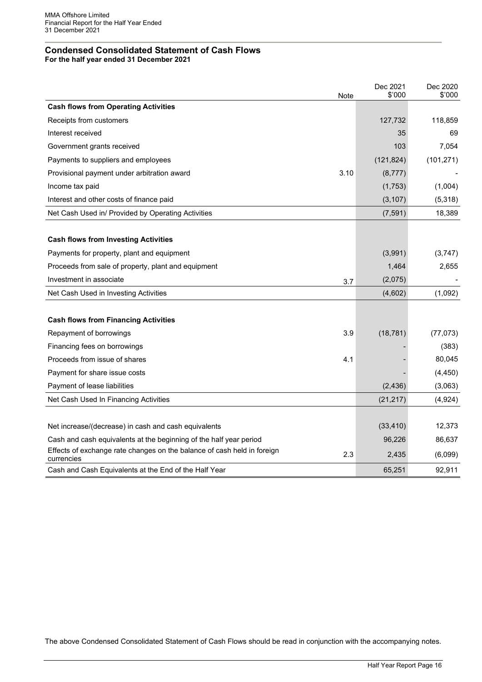# <span id="page-15-0"></span>**Condensed Consolidated Statement of Cash Flows**

**For the half year ended 31 December 2021**

|                                                                                       | Note | Dec 2021<br>\$'000 | Dec 2020<br>\$'000 |
|---------------------------------------------------------------------------------------|------|--------------------|--------------------|
| <b>Cash flows from Operating Activities</b>                                           |      |                    |                    |
| Receipts from customers                                                               |      | 127,732            | 118,859            |
| Interest received                                                                     |      | 35                 | 69                 |
| Government grants received                                                            |      | 103                | 7,054              |
| Payments to suppliers and employees                                                   |      | (121, 824)         | (101, 271)         |
| Provisional payment under arbitration award                                           | 3.10 | (8, 777)           |                    |
| Income tax paid                                                                       |      | (1,753)            | (1,004)            |
| Interest and other costs of finance paid                                              |      | (3, 107)           | (5,318)            |
| Net Cash Used in/ Provided by Operating Activities                                    |      | (7, 591)           | 18,389             |
|                                                                                       |      |                    |                    |
| <b>Cash flows from Investing Activities</b>                                           |      |                    |                    |
| Payments for property, plant and equipment                                            |      | (3,991)            | (3,747)            |
| Proceeds from sale of property, plant and equipment                                   |      | 1,464              | 2,655              |
| Investment in associate                                                               | 3.7  | (2,075)            |                    |
| Net Cash Used in Investing Activities                                                 |      | (4,602)            | (1,092)            |
|                                                                                       |      |                    |                    |
| <b>Cash flows from Financing Activities</b>                                           |      |                    |                    |
| Repayment of borrowings                                                               | 3.9  | (18, 781)          | (77, 073)          |
| Financing fees on borrowings                                                          |      |                    | (383)              |
| Proceeds from issue of shares                                                         | 4.1  |                    | 80,045             |
| Payment for share issue costs                                                         |      |                    | (4, 450)           |
| Payment of lease liabilities                                                          |      | (2, 436)           | (3,063)            |
| Net Cash Used In Financing Activities                                                 |      | (21, 217)          | (4,924)            |
|                                                                                       |      |                    |                    |
| Net increase/(decrease) in cash and cash equivalents                                  |      | (33, 410)          | 12,373             |
| Cash and cash equivalents at the beginning of the half year period                    |      | 96,226             | 86,637             |
| Effects of exchange rate changes on the balance of cash held in foreign<br>currencies | 2.3  | 2,435              | (6,099)            |
| Cash and Cash Equivalents at the End of the Half Year                                 |      | 65,251             | 92,911             |

The above Condensed Consolidated Statement of Cash Flows should be read in conjunction with the accompanying notes.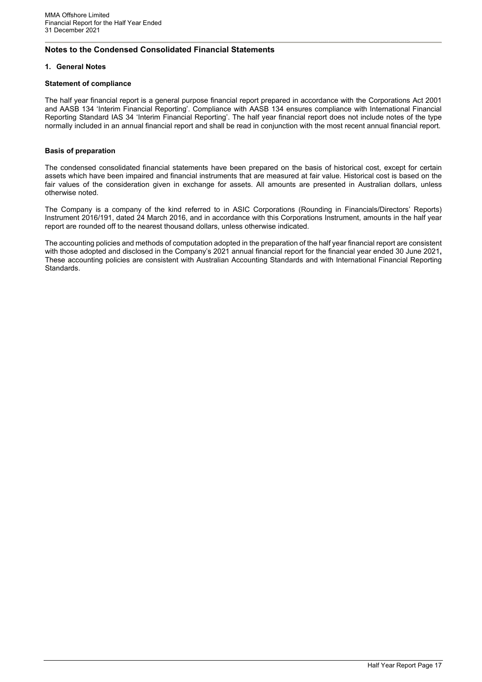# <span id="page-16-0"></span>**Notes to the Condensed Consolidated Financial Statements**

#### **1. General Notes**

#### **Statement of compliance**

The half year financial report is a general purpose financial report prepared in accordance with the Corporations Act 2001 and AASB 134 'Interim Financial Reporting'. Compliance with AASB 134 ensures compliance with International Financial Reporting Standard IAS 34 'Interim Financial Reporting'. The half year financial report does not include notes of the type normally included in an annual financial report and shall be read in conjunction with the most recent annual financial report.

#### **Basis of preparation**

The condensed consolidated financial statements have been prepared on the basis of historical cost, except for certain assets which have been impaired and financial instruments that are measured at fair value. Historical cost is based on the fair values of the consideration given in exchange for assets. All amounts are presented in Australian dollars, unless otherwise noted.

The Company is a company of the kind referred to in ASIC Corporations (Rounding in Financials/Directors' Reports) Instrument 2016/191, dated 24 March 2016, and in accordance with this Corporations Instrument, amounts in the half year report are rounded off to the nearest thousand dollars, unless otherwise indicated.

The accounting policies and methods of computation adopted in the preparation of the half year financial report are consistent with those adopted and disclosed in the Company's 2021 annual financial report for the financial year ended 30 June 2021**,**  These accounting policies are consistent with Australian Accounting Standards and with International Financial Reporting Standards.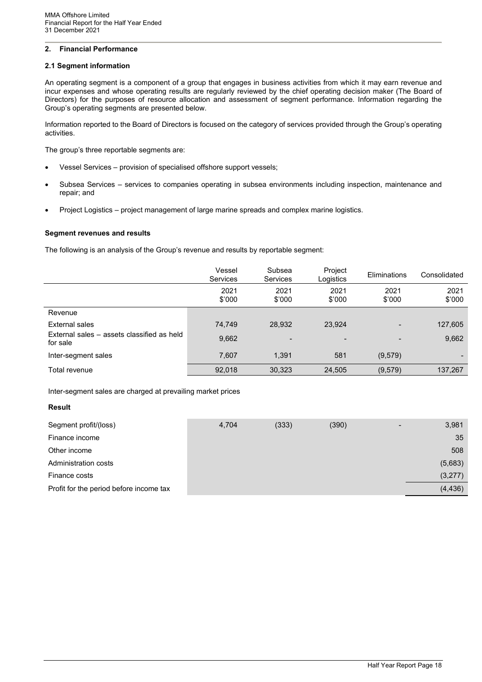# **2. Financial Performance**

#### **2.1 Segment information**

An operating segment is a component of a group that engages in business activities from which it may earn revenue and incur expenses and whose operating results are regularly reviewed by the chief operating decision maker (The Board of Directors) for the purposes of resource allocation and assessment of segment performance. Information regarding the Group's operating segments are presented below.

Information reported to the Board of Directors is focused on the category of services provided through the Group's operating activities.

The group's three reportable segments are:

- Vessel Services provision of specialised offshore support vessels;
- Subsea Services services to companies operating in subsea environments including inspection, maintenance and repair; and
- Project Logistics project management of large marine spreads and complex marine logistics.

#### **Segment revenues and results**

The following is an analysis of the Group's revenue and results by reportable segment:

|                                                        | Vessel<br><b>Services</b> | Subsea<br><b>Services</b> | Project<br>Logistics | Eliminations   | Consolidated   |
|--------------------------------------------------------|---------------------------|---------------------------|----------------------|----------------|----------------|
|                                                        | 2021<br>\$'000            | 2021<br>\$'000            | 2021<br>\$'000       | 2021<br>\$'000 | 2021<br>\$'000 |
| Revenue                                                |                           |                           |                      |                |                |
| External sales                                         | 74,749                    | 28,932                    | 23,924               |                | 127,605        |
| External sales – assets classified as held<br>for sale | 9,662                     | $\overline{\phantom{a}}$  |                      |                | 9,662          |
| Inter-segment sales                                    | 7.607                     | 1.391                     | 581                  | (9,579)        |                |
| Total revenue                                          | 92,018                    | 30,323                    | 24,505               | (9,579)        | 137,267        |

Inter-segment sales are charged at prevailing market prices

#### **Result**

| Segment profit/(loss)                   | 4,704 | (333) | (390) | 3,981    |
|-----------------------------------------|-------|-------|-------|----------|
| Finance income                          |       |       |       | 35       |
| Other income                            |       |       |       | 508      |
| Administration costs                    |       |       |       | (5,683)  |
| Finance costs                           |       |       |       | (3,277)  |
| Profit for the period before income tax |       |       |       | (4, 436) |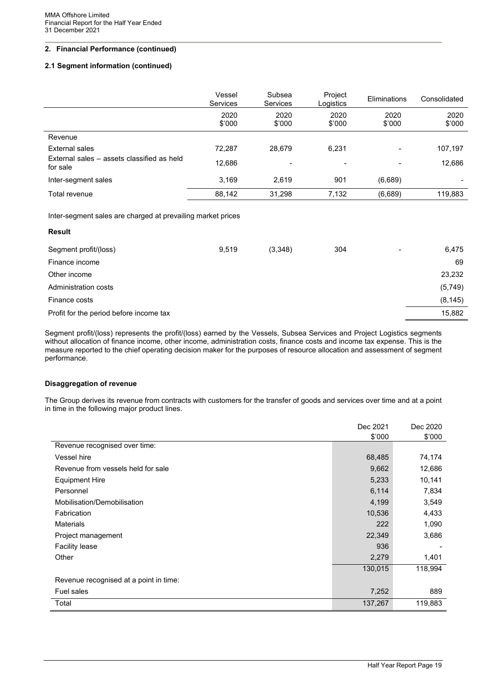# **2. Financial Performance (continued)**

#### **2.1 Segment information (continued)**

|                                                        | Vessel<br>Services | Subsea<br>Services | Project<br>Logistics | Eliminations   | Consolidated   |
|--------------------------------------------------------|--------------------|--------------------|----------------------|----------------|----------------|
|                                                        | 2020<br>\$'000     | 2020<br>\$'000     | 2020<br>\$'000       | 2020<br>\$'000 | 2020<br>\$'000 |
| Revenue                                                |                    |                    |                      |                |                |
| External sales                                         | 72,287             | 28,679             | 6,231                |                | 107,197        |
| External sales – assets classified as held<br>for sale | 12,686             | -                  | -                    |                | 12,686         |
| Inter-segment sales                                    | 3.169              | 2.619              | 901                  | (6,689)        |                |
| Total revenue                                          | 88,142             | 31,298             | 7,132                | (6,689)        | 119,883        |

Inter-segment sales are charged at prevailing market prices

| <b>Result</b>                           |       |         |     |                |          |
|-----------------------------------------|-------|---------|-----|----------------|----------|
| Segment profit/(loss)                   | 9,519 | (3,348) | 304 | $\blacksquare$ | 6,475    |
| Finance income                          |       |         |     |                | 69       |
| Other income                            |       |         |     |                | 23,232   |
| Administration costs                    |       |         |     |                | (5,749)  |
| Finance costs                           |       |         |     |                | (8, 145) |
| Profit for the period before income tax |       |         |     |                | 15,882   |

Segment profit/(loss) represents the profit/(loss) earned by the Vessels, Subsea Services and Project Logistics segments without allocation of finance income, other income, administration costs, finance costs and income tax expense. This is the measure reported to the chief operating decision maker for the purposes of resource allocation and assessment of segment performance.

#### **Disaggregation of revenue**

The Group derives its revenue from contracts with customers for the transfer of goods and services over time and at a point in time in the following major product lines.

|                                        | Dec 2021 | Dec 2020 |
|----------------------------------------|----------|----------|
|                                        | \$'000   | \$'000   |
| Revenue recognised over time:          |          |          |
| Vessel hire                            | 68,485   | 74,174   |
| Revenue from vessels held for sale     | 9,662    | 12,686   |
| Equipment Hire                         | 5,233    | 10,141   |
| Personnel                              | 6,114    | 7,834    |
| Mobilisation/Demobilisation            | 4,199    | 3,549    |
| Fabrication                            | 10,536   | 4,433    |
| <b>Materials</b>                       | 222      | 1,090    |
| Project management                     | 22,349   | 3,686    |
| <b>Facility lease</b>                  | 936      |          |
| Other                                  | 2,279    | 1,401    |
|                                        | 130,015  | 118,994  |
| Revenue recognised at a point in time: |          |          |
| Fuel sales                             | 7,252    | 889      |
| Total                                  | 137,267  | 119,883  |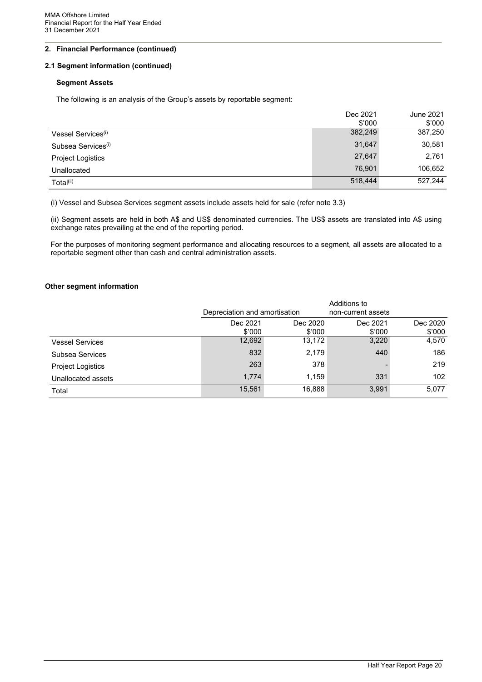# **2. Financial Performance (continued)**

#### **2.1 Segment information (continued)**

#### **Segment Assets**

The following is an analysis of the Group's assets by reportable segment:

|                                | Dec 2021<br>\$'000 | June 2021<br>\$'000 |
|--------------------------------|--------------------|---------------------|
| Vessel Services <sup>(i)</sup> | 382,249            | 387,250             |
| Subsea Services <sup>(i)</sup> | 31,647             | 30,581              |
| <b>Project Logistics</b>       | 27,647             | 2,761               |
| Unallocated                    | 76.901             | 106,652             |
| Total <sup>(ii)</sup>          | 518,444            | 527,244             |

(i) Vessel and Subsea Services segment assets include assets held for sale (refer note 3.3)

(ii) Segment assets are held in both A\$ and US\$ denominated currencies. The US\$ assets are translated into A\$ using exchange rates prevailing at the end of the reporting period.

For the purposes of monitoring segment performance and allocating resources to a segment, all assets are allocated to a reportable segment other than cash and central administration assets.

#### **Other segment information**

|                          |                               |          | Additions to       |          |
|--------------------------|-------------------------------|----------|--------------------|----------|
|                          | Depreciation and amortisation |          | non-current assets |          |
|                          | Dec 2021                      | Dec 2020 | Dec 2021           | Dec 2020 |
|                          | \$'000                        | \$'000   | \$'000             | \$'000   |
| <b>Vessel Services</b>   | 12,692                        | 13,172   | 3,220              | 4,570    |
| Subsea Services          | 832                           | 2,179    | 440                | 186      |
| <b>Project Logistics</b> | 263                           | 378      |                    | 219      |
| Unallocated assets       | 1,774                         | 1,159    | 331                | 102      |
| Total                    | 15,561                        | 16,888   | 3,991              | 5,077    |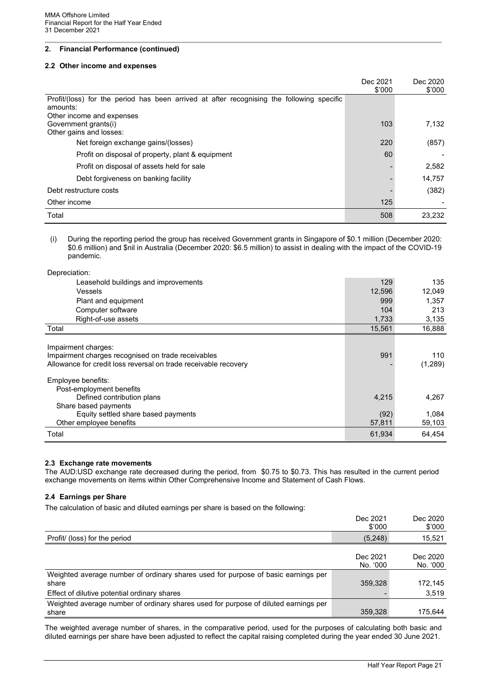### **2. Financial Performance (continued)**

#### **2.2 Other income and expenses**

|                                                                                                       | Dec 2021<br>\$'000 | Dec 2020<br>\$'000 |
|-------------------------------------------------------------------------------------------------------|--------------------|--------------------|
| Profit/(loss) for the period has been arrived at after recognising the following specific<br>amounts: |                    |                    |
| Other income and expenses                                                                             |                    |                    |
| Government grants(i)                                                                                  | 103                | 7.132              |
| Other gains and losses:                                                                               |                    |                    |
| Net foreign exchange gains/(losses)                                                                   | 220                | (857)              |
| Profit on disposal of property, plant & equipment                                                     | 60                 |                    |
| Profit on disposal of assets held for sale                                                            |                    | 2,582              |
| Debt forgiveness on banking facility                                                                  |                    | 14,757             |
| Debt restructure costs                                                                                |                    | (382)              |
| Other income                                                                                          | 125                |                    |
| Total                                                                                                 | 508                | 23.232             |

(i) During the reporting period the group has received Government grants in Singapore of \$0.1 million (December 2020: \$0.6 million) and \$nil in Australia (December 2020: \$6.5 million) to assist in dealing with the impact of the COVID-19 pandemic.

Depreciation:

| Leasehold buildings and improvements                                                                                                         | 129    | 135            |
|----------------------------------------------------------------------------------------------------------------------------------------------|--------|----------------|
| <b>Vessels</b>                                                                                                                               | 12,596 | 12,049         |
| Plant and equipment                                                                                                                          | 999    | 1,357          |
| Computer software                                                                                                                            | 104    | 213            |
| Right-of-use assets                                                                                                                          | 1,733  | 3,135          |
| Total                                                                                                                                        | 15,561 | 16,888         |
| Impairment charges:<br>Impairment charges recognised on trade receivables<br>Allowance for credit loss reversal on trade receivable recovery | 991    | 110<br>(1,289) |
| Employee benefits:<br>Post-employment benefits                                                                                               |        |                |
| Defined contribution plans<br>Share based payments                                                                                           | 4,215  | 4,267          |
| Equity settled share based payments                                                                                                          | (92)   | 1.084          |
| Other employee benefits                                                                                                                      | 57,811 | 59,103         |
| Total                                                                                                                                        | 61,934 | 64,454         |

#### **2.3 Exchange rate movements**

The AUD:USD exchange rate decreased during the period, from \$0.75 to \$0.73. This has resulted in the current period exchange movements on items within Other Comprehensive Income and Statement of Cash Flows.

#### **2.4 Earnings per Share**

The calculation of basic and diluted earnings per share is based on the following:

|                                                                                              | Dec 2021<br>\$'000   | Dec 2020<br>\$'000   |
|----------------------------------------------------------------------------------------------|----------------------|----------------------|
| Profit/ (loss) for the period                                                                | (5,248)              | 15,521               |
|                                                                                              | Dec 2021<br>No. '000 | Dec 2020<br>No. '000 |
| Weighted average number of ordinary shares used for purpose of basic earnings per<br>share   | 359,328              | 172,145              |
| Effect of dilutive potential ordinary shares                                                 |                      | 3,519                |
| Weighted average number of ordinary shares used for purpose of diluted earnings per<br>share | 359,328              | 175.644              |

The weighted average number of shares, in the comparative period, used for the purposes of calculating both basic and diluted earnings per share have been adjusted to reflect the capital raising completed during the year ended 30 June 2021.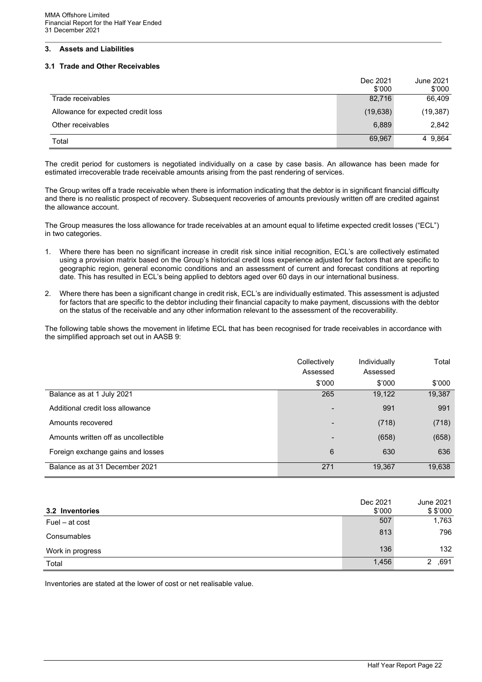# **3. Assets and Liabilities**

#### **3.1 Trade and Other Receivables**

|                                    | Dec 2021<br>\$'000 | June 2021<br>\$'000 |
|------------------------------------|--------------------|---------------------|
| Trade receivables                  | 82,716             | 66,409              |
| Allowance for expected credit loss | (19, 638)          | (19, 387)           |
| Other receivables                  | 6,889              | 2,842               |
| Total                              | 69,967             | 4 9,864             |

The credit period for customers is negotiated individually on a case by case basis. An allowance has been made for estimated irrecoverable trade receivable amounts arising from the past rendering of services.

The Group writes off a trade receivable when there is information indicating that the debtor is in significant financial difficulty and there is no realistic prospect of recovery. Subsequent recoveries of amounts previously written off are credited against the allowance account.

The Group measures the loss allowance for trade receivables at an amount equal to lifetime expected credit losses ("ECL") in two categories.

- 1. Where there has been no significant increase in credit risk since initial recognition, ECL's are collectively estimated using a provision matrix based on the Group's historical credit loss experience adjusted for factors that are specific to geographic region, general economic conditions and an assessment of current and forecast conditions at reporting date. This has resulted in ECL's being applied to debtors aged over 60 days in our international business.
- 2. Where there has been a significant change in credit risk, ECL's are individually estimated. This assessment is adjusted for factors that are specific to the debtor including their financial capacity to make payment, discussions with the debtor on the status of the receivable and any other information relevant to the assessment of the recoverability.

The following table shows the movement in lifetime ECL that has been recognised for trade receivables in accordance with the simplified approach set out in AASB 9:

|                                      | Collectively<br>Assessed | Individually<br>Assessed | Total  |
|--------------------------------------|--------------------------|--------------------------|--------|
|                                      | \$'000                   | \$'000                   | \$'000 |
| Balance as at 1 July 2021            | 265                      | 19,122                   | 19,387 |
| Additional credit loss allowance     | $\blacksquare$           | 991                      | 991    |
| Amounts recovered                    | $\overline{\phantom{a}}$ | (718)                    | (718)  |
| Amounts written off as uncollectible | $\blacksquare$           | (658)                    | (658)  |
| Foreign exchange gains and losses    | 6                        | 630                      | 636    |
| Balance as at 31 December 2021       | 271                      | 19,367                   | 19,638 |

| 3.2 Inventories  | Dec 2021<br>\$'000 | June 2021<br>\$3000 |
|------------------|--------------------|---------------------|
| Fuel – at cost   | 507                | 1,763               |
| Consumables      | 813                | 796                 |
| Work in progress | 136                | 132                 |
| Total            | 1,456              | ,691<br>2           |

Inventories are stated at the lower of cost or net realisable value.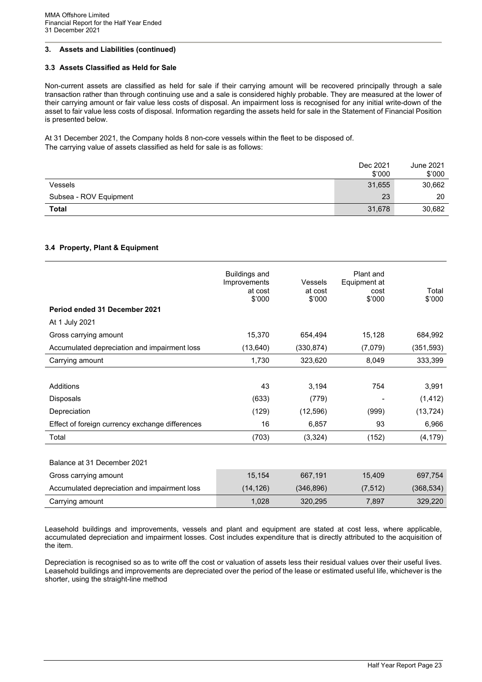#### **3.3 Assets Classified as Held for Sale**

Non-current assets are classified as held for sale if their carrying amount will be recovered principally through a sale transaction rather than through continuing use and a sale is considered highly probable. They are measured at the lower of their carrying amount or fair value less costs of disposal. An impairment loss is recognised for any initial write-down of the asset to fair value less costs of disposal. Information regarding the assets held for sale in the Statement of Financial Position is presented below.

At 31 December 2021, the Company holds 8 non-core vessels within the fleet to be disposed of. The carrying value of assets classified as held for sale is as follows:

|                        | Dec 2021 | June 2021 |
|------------------------|----------|-----------|
|                        | \$'000   | \$'000    |
| Vessels                | 31,655   | 30,662    |
| Subsea - ROV Equipment | 23       | 20        |
| <b>Total</b>           | 31,678   | 30,682    |

#### **3.4 Property, Plant & Equipment**

| Period ended 31 December 2021                   | <b>Buildings and</b><br>Improvements<br>at cost<br>\$'000 | <b>Vessels</b><br>at cost<br>\$'000 | Plant and<br>Equipment at<br>cost<br>\$'000 | Total<br>\$'000 |
|-------------------------------------------------|-----------------------------------------------------------|-------------------------------------|---------------------------------------------|-----------------|
|                                                 |                                                           |                                     |                                             |                 |
| At 1 July 2021                                  |                                                           |                                     |                                             |                 |
| Gross carrying amount                           | 15,370                                                    | 654,494                             | 15,128                                      | 684,992         |
| Accumulated depreciation and impairment loss    | (13, 640)                                                 | (330, 874)                          | (7,079)                                     | (351, 593)      |
| Carrying amount                                 | 1,730                                                     | 323,620                             | 8,049                                       | 333,399         |
|                                                 |                                                           |                                     |                                             |                 |
| Additions                                       | 43                                                        | 3,194                               | 754                                         | 3,991           |
| Disposals                                       | (633)                                                     | (779)                               |                                             | (1, 412)        |
| Depreciation                                    | (129)                                                     | (12, 596)                           | (999)                                       | (13, 724)       |
| Effect of foreign currency exchange differences | 16                                                        | 6,857                               | 93                                          | 6,966           |
| Total                                           | (703)                                                     | (3,324)                             | (152)                                       | (4, 179)        |
|                                                 |                                                           |                                     |                                             |                 |
| Balance at 31 December 2021                     |                                                           |                                     |                                             |                 |
| Gross carrying amount                           | 15,154                                                    | 667,191                             | 15,409                                      | 697,754         |
| Accumulated depreciation and impairment loss    | (14, 126)                                                 | (346, 896)                          | (7, 512)                                    | (368, 534)      |
| Carrying amount                                 | 1,028                                                     | 320,295                             | 7,897                                       | 329,220         |

Leasehold buildings and improvements, vessels and plant and equipment are stated at cost less, where applicable, accumulated depreciation and impairment losses. Cost includes expenditure that is directly attributed to the acquisition of the item.

Depreciation is recognised so as to write off the cost or valuation of assets less their residual values over their useful lives. Leasehold buildings and improvements are depreciated over the period of the lease or estimated useful life, whichever is the shorter, using the straight-line method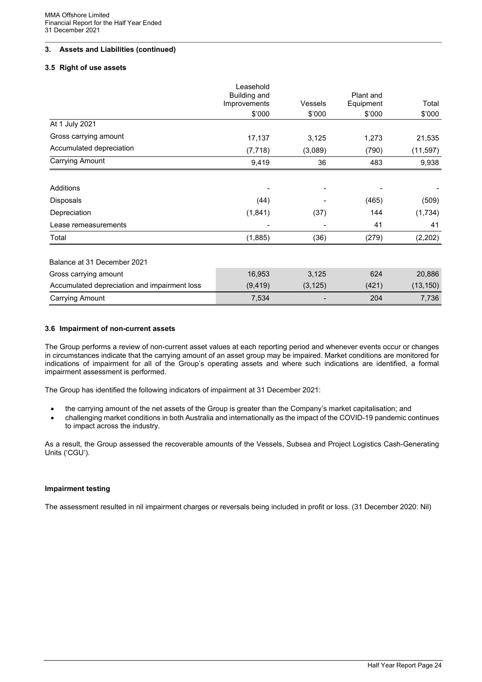#### **3.5 Right of use assets**

|                                              | Leasehold    |                |           |           |
|----------------------------------------------|--------------|----------------|-----------|-----------|
|                                              | Building and |                | Plant and |           |
|                                              | Improvements | <b>Vessels</b> | Equipment | Total     |
|                                              | \$'000       | \$'000         | \$'000    | \$'000    |
| At 1 July 2021                               |              |                |           |           |
| Gross carrying amount                        | 17,137       | 3,125          | 1,273     | 21,535    |
| Accumulated depreciation                     | (7, 718)     | (3,089)        | (790)     | (11, 597) |
| <b>Carrying Amount</b>                       | 9,419        | 36             | 483       | 9,938     |
|                                              |              |                |           |           |
| Additions                                    |              |                |           |           |
| Disposals                                    | (44)         |                | (465)     | (509)     |
| Depreciation                                 | (1, 841)     | (37)           | 144       | (1,734)   |
| Lease remeasurements                         |              |                | 41        | 41        |
| Total                                        | (1,885)      | (36)           | (279)     | (2,202)   |
| Balance at 31 December 2021                  |              |                |           |           |
| Gross carrying amount                        | 16,953       | 3,125          | 624       | 20,886    |
| Accumulated depreciation and impairment loss | (9, 419)     | (3, 125)       | (421)     | (13, 150) |
| <b>Carrying Amount</b>                       | 7,534        |                | 204       | 7,736     |

#### **3.6 Impairment of non-current assets**

The Group performs a review of non-current asset values at each reporting period and whenever events occur or changes in circumstances indicate that the carrying amount of an asset group may be impaired. Market conditions are monitored for indications of impairment for all of the Group's operating assets and where such indications are identified, a formal impairment assessment is performed.

The Group has identified the following indicators of impairment at 31 December 2021:

- the carrying amount of the net assets of the Group is greater than the Company's market capitalisation; and
- challenging market conditions in both Australia and internationally as the impact of the COVID-19 pandemic continues to impact across the industry.

As a result, the Group assessed the recoverable amounts of the Vessels, Subsea and Project Logistics Cash-Generating Units ('CGU').

#### **Impairment testing**

The assessment resulted in nil impairment charges or reversals being included in profit or loss. (31 December 2020: Nil)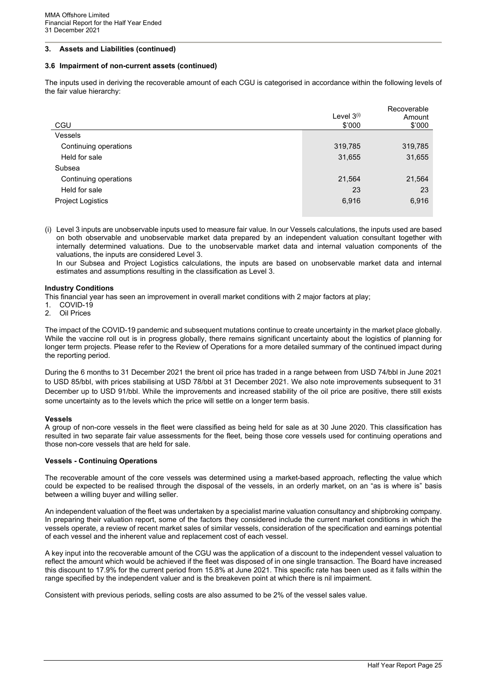#### **3.6 Impairment of non-current assets (continued)**

The inputs used in deriving the recoverable amount of each CGU is categorised in accordance within the following levels of the fair value hierarchy:

| CGU                   | Level $3^{(i)}$<br>\$'000 | Recoverable<br>Amount<br>\$'000 |
|-----------------------|---------------------------|---------------------------------|
| <b>Vessels</b>        |                           |                                 |
| Continuing operations | 319,785                   | 319,785                         |
| Held for sale         | 31,655                    | 31,655                          |
| Subsea                |                           |                                 |
| Continuing operations | 21,564                    | 21,564                          |
| Held for sale         | 23                        | 23                              |
| Project Logistics     | 6,916                     | 6,916                           |
|                       |                           |                                 |

(i) Level 3 inputs are unobservable inputs used to measure fair value. In our Vessels calculations, the inputs used are based on both observable and unobservable market data prepared by an independent valuation consultant together with internally determined valuations. Due to the unobservable market data and internal valuation components of the valuations, the inputs are considered Level 3.

In our Subsea and Project Logistics calculations, the inputs are based on unobservable market data and internal estimates and assumptions resulting in the classification as Level 3.

#### **Industry Conditions**

This financial year has seen an improvement in overall market conditions with 2 major factors at play;

- 1. COVID-19<br>2 Oil Prices
- **Oil Prices**

The impact of the COVID-19 pandemic and subsequent mutations continue to create uncertainty in the market place globally. While the vaccine roll out is in progress globally, there remains significant uncertainty about the logistics of planning for longer term projects. Please refer to the Review of Operations for a more detailed summary of the continued impact during the reporting period.

During the 6 months to 31 December 2021 the brent oil price has traded in a range between from USD 74/bbl in June 2021 to USD 85/bbl, with prices stabilising at USD 78/bbl at 31 December 2021. We also note improvements subsequent to 31 December up to USD 91/bbl. While the improvements and increased stability of the oil price are positive, there still exists some uncertainty as to the levels which the price will settle on a longer term basis.

#### **Vessels**

A group of non-core vessels in the fleet were classified as being held for sale as at 30 June 2020. This classification has resulted in two separate fair value assessments for the fleet, being those core vessels used for continuing operations and those non-core vessels that are held for sale.

#### **Vessels - Continuing Operations**

The recoverable amount of the core vessels was determined using a market-based approach, reflecting the value which could be expected to be realised through the disposal of the vessels, in an orderly market, on an "as is where is" basis between a willing buyer and willing seller.

An independent valuation of the fleet was undertaken by a specialist marine valuation consultancy and shipbroking company. In preparing their valuation report, some of the factors they considered include the current market conditions in which the vessels operate, a review of recent market sales of similar vessels, consideration of the specification and earnings potential of each vessel and the inherent value and replacement cost of each vessel.

A key input into the recoverable amount of the CGU was the application of a discount to the independent vessel valuation to reflect the amount which would be achieved if the fleet was disposed of in one single transaction. The Board have increased this discount to 17.9% for the current period from 15.8% at June 2021. This specific rate has been used as it falls within the range specified by the independent valuer and is the breakeven point at which there is nil impairment.

Consistent with previous periods, selling costs are also assumed to be 2% of the vessel sales value.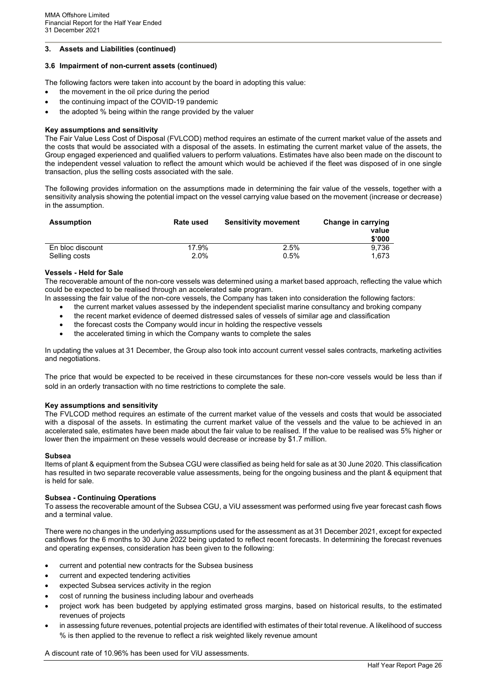#### **3.6 Impairment of non-current assets (continued)**

The following factors were taken into account by the board in adopting this value:

- the movement in the oil price during the period
- the continuing impact of the COVID-19 pandemic
- the adopted % being within the range provided by the valuer

#### **Key assumptions and sensitivity**

The Fair Value Less Cost of Disposal (FVLCOD) method requires an estimate of the current market value of the assets and the costs that would be associated with a disposal of the assets. In estimating the current market value of the assets, the Group engaged experienced and qualified valuers to perform valuations. Estimates have also been made on the discount to the independent vessel valuation to reflect the amount which would be achieved if the fleet was disposed of in one single transaction, plus the selling costs associated with the sale.

The following provides information on the assumptions made in determining the fair value of the vessels, together with a sensitivity analysis showing the potential impact on the vessel carrying value based on the movement (increase or decrease) in the assumption.

| <b>Assumption</b> | <b>Rate used</b> | <b>Sensitivity movement</b> | Change in carrying<br>value<br>\$'000 |
|-------------------|------------------|-----------------------------|---------------------------------------|
| En bloc discount  | 17.9%            | 2.5%                        | 9.736                                 |
| Selling costs     | 2.0%             | $0.5\%$                     | 1.673                                 |

#### **Vessels - Held for Sale**

The recoverable amount of the non-core vessels was determined using a market based approach, reflecting the value which could be expected to be realised through an accelerated sale program.

- In assessing the fair value of the non-core vessels, the Company has taken into consideration the following factors:
	- the current market values assessed by the independent specialist marine consultancy and broking company
	- the recent market evidence of deemed distressed sales of vessels of similar age and classification
	- the forecast costs the Company would incur in holding the respective vessels
	- the accelerated timing in which the Company wants to complete the sales

In updating the values at 31 December, the Group also took into account current vessel sales contracts, marketing activities and negotiations.

The price that would be expected to be received in these circumstances for these non-core vessels would be less than if sold in an orderly transaction with no time restrictions to complete the sale.

#### **Key assumptions and sensitivity**

The FVLCOD method requires an estimate of the current market value of the vessels and costs that would be associated with a disposal of the assets. In estimating the current market value of the vessels and the value to be achieved in an accelerated sale, estimates have been made about the fair value to be realised. If the value to be realised was 5% higher or lower then the impairment on these vessels would decrease or increase by \$1.7 million.

#### **Subsea**

Items of plant & equipment from the Subsea CGU were classified as being held for sale as at 30 June 2020. This classification has resulted in two separate recoverable value assessments, being for the ongoing business and the plant & equipment that is held for sale.

#### **Subsea - Continuing Operations**

To assess the recoverable amount of the Subsea CGU, a ViU assessment was performed using five year forecast cash flows and a terminal value.

There were no changes in the underlying assumptions used for the assessment as at 31 December 2021, except for expected cashflows for the 6 months to 30 June 2022 being updated to reflect recent forecasts. In determining the forecast revenues and operating expenses, consideration has been given to the following:

- current and potential new contracts for the Subsea business
- current and expected tendering activities
- expected Subsea services activity in the region
- cost of running the business including labour and overheads
- project work has been budgeted by applying estimated gross margins, based on historical results, to the estimated revenues of projects
- in assessing future revenues, potential projects are identified with estimates of their total revenue. A likelihood of success % is then applied to the revenue to reflect a risk weighted likely revenue amount

A discount rate of 10.96% has been used for ViU assessments.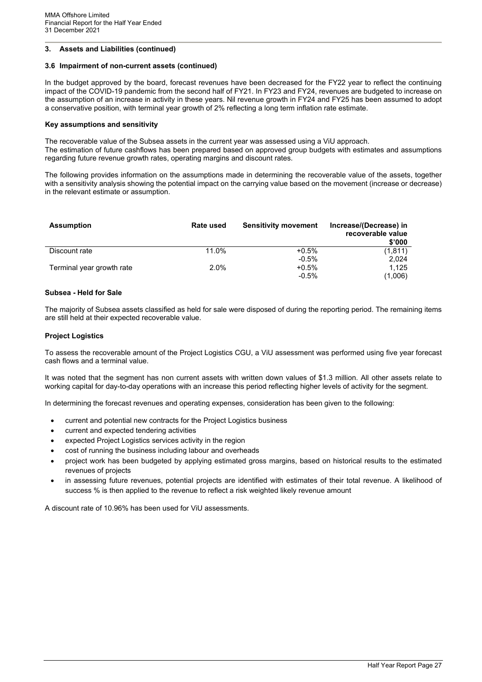#### **3.6 Impairment of non-current assets (continued)**

In the budget approved by the board, forecast revenues have been decreased for the FY22 year to reflect the continuing impact of the COVID-19 pandemic from the second half of FY21. In FY23 and FY24, revenues are budgeted to increase on the assumption of an increase in activity in these years. Nil revenue growth in FY24 and FY25 has been assumed to adopt a conservative position, with terminal year growth of 2% reflecting a long term inflation rate estimate.

#### **Key assumptions and sensitivity**

The recoverable value of the Subsea assets in the current year was assessed using a ViU approach. The estimation of future cashflows has been prepared based on approved group budgets with estimates and assumptions regarding future revenue growth rates, operating margins and discount rates.

The following provides information on the assumptions made in determining the recoverable value of the assets, together with a sensitivity analysis showing the potential impact on the carrying value based on the movement (increase or decrease) in the relevant estimate or assumption.

| <b>Assumption</b>         | <b>Rate used</b> | <b>Sensitivity movement</b> | Increase/(Decrease) in<br>recoverable value<br>\$'000 |
|---------------------------|------------------|-----------------------------|-------------------------------------------------------|
| Discount rate             | 11.0%            | $+0.5%$                     | (1, 811)                                              |
|                           |                  | $-0.5\%$                    | 2.024                                                 |
| Terminal year growth rate | $2.0\%$          | $+0.5%$                     | 1.125                                                 |
|                           |                  | $-0.5\%$                    | (1,006)                                               |

#### **Subsea - Held for Sale**

The majority of Subsea assets classified as held for sale were disposed of during the reporting period. The remaining items are still held at their expected recoverable value.

#### **Project Logistics**

To assess the recoverable amount of the Project Logistics CGU, a ViU assessment was performed using five year forecast cash flows and a terminal value.

It was noted that the segment has non current assets with written down values of \$1.3 million. All other assets relate to working capital for day-to-day operations with an increase this period reflecting higher levels of activity for the segment.

In determining the forecast revenues and operating expenses, consideration has been given to the following:

- current and potential new contracts for the Project Logistics business
- current and expected tendering activities
- expected Project Logistics services activity in the region
- cost of running the business including labour and overheads
- project work has been budgeted by applying estimated gross margins, based on historical results to the estimated revenues of projects
- in assessing future revenues, potential projects are identified with estimates of their total revenue. A likelihood of success % is then applied to the revenue to reflect a risk weighted likely revenue amount

A discount rate of 10.96% has been used for ViU assessments.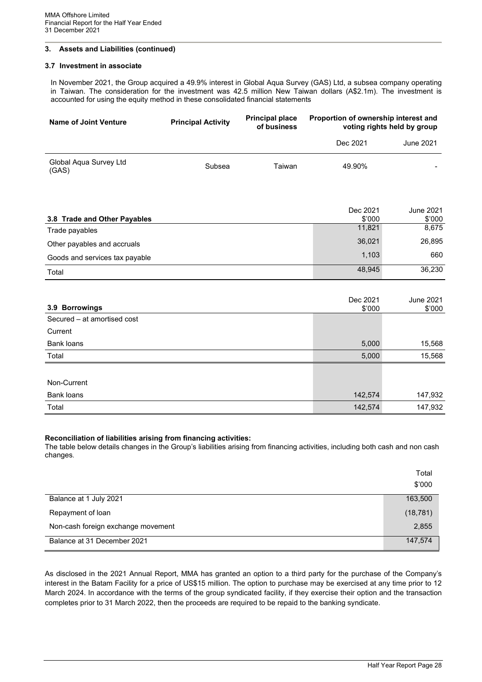#### **3.7 Investment in associate**

In November 2021, the Group acquired a 49.9% interest in Global Aqua Survey (GAS) Ltd, a subsea company operating in Taiwan. The consideration for the investment was 42.5 million New Taiwan dollars (A\$2.1m). The investment is accounted for using the equity method in these consolidated financial statements

| Name of Joint Venture           | <b>Principal Activity</b> | <b>Principal place</b><br>of business | Proportion of ownership interest and | voting rights held by group |
|---------------------------------|---------------------------|---------------------------------------|--------------------------------------|-----------------------------|
|                                 |                           |                                       | Dec 2021                             | <b>June 2021</b>            |
| Global Aqua Survey Ltd<br>(GAS) | Subsea                    | Taiwan                                | 49.90%                               |                             |
| 3.8 Trade and Other Payables    |                           |                                       | Dec 2021<br>\$'000                   | <b>June 2021</b><br>\$'000  |
| Trade payables                  |                           |                                       | 11,821                               | 8,675                       |
| Other payables and accruals     |                           |                                       | 36,021                               | 26,895                      |
| Goods and services tax payable  |                           |                                       | 1,103                                | 660                         |
| Total                           |                           |                                       | 48,945                               | 36,230                      |

| 3.9 Borrowings              | Dec 2021<br>\$'000 | <b>June 2021</b><br>\$'000 |
|-----------------------------|--------------------|----------------------------|
| Secured – at amortised cost |                    |                            |
| Current                     |                    |                            |
| Bank loans                  | 5,000              | 15,568                     |
| Total                       | 5,000              | 15,568                     |
|                             |                    |                            |
| Non-Current                 |                    |                            |
| Bank loans                  | 142,574            | 147,932                    |
| Total                       | 142,574            | 147,932                    |

#### **Reconciliation of liabilities arising from financing activities:**

The table below details changes in the Group's liabilities arising from financing activities, including both cash and non cash changes.

|                                    | Total     |
|------------------------------------|-----------|
|                                    | \$'000    |
| Balance at 1 July 2021             | 163,500   |
| Repayment of loan                  | (18, 781) |
| Non-cash foreign exchange movement | 2,855     |
| Balance at 31 December 2021        | 147,574   |

As disclosed in the 2021 Annual Report, MMA has granted an option to a third party for the purchase of the Company's interest in the Batam Facility for a price of US\$15 million. The option to purchase may be exercised at any time prior to 12 March 2024. In accordance with the terms of the group syndicated facility, if they exercise their option and the transaction completes prior to 31 March 2022, then the proceeds are required to be repaid to the banking syndicate.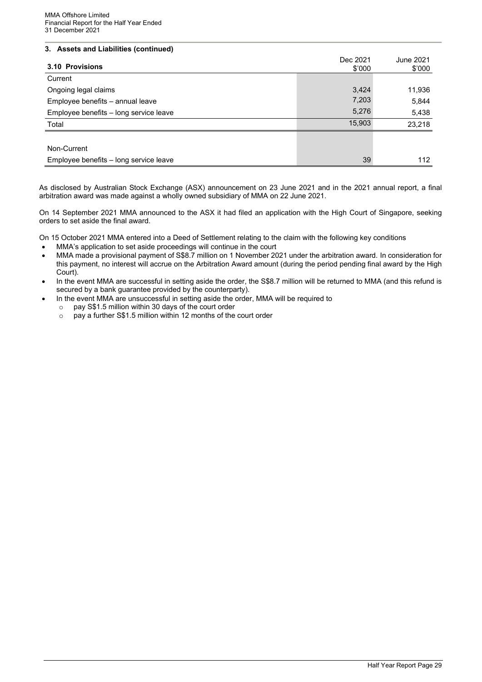| 3.10 Provisions                        | Dec 2021<br>\$'000 | June 2021<br>\$'000 |
|----------------------------------------|--------------------|---------------------|
| Current                                |                    |                     |
| Ongoing legal claims                   | 3,424              | 11,936              |
| Employee benefits - annual leave       | 7,203              | 5,844               |
| Employee benefits - long service leave | 5,276              | 5,438               |
| Total                                  | 15,903             | 23,218              |
|                                        |                    |                     |
| Non-Current                            |                    |                     |
| Employee benefits - long service leave | 39                 | 112                 |

As disclosed by Australian Stock Exchange (ASX) announcement on 23 June 2021 and in the 2021 annual report, a final arbitration award was made against a wholly owned subsidiary of MMA on 22 June 2021.

On 14 September 2021 MMA announced to the ASX it had filed an application with the High Court of Singapore, seeking orders to set aside the final award.

On 15 October 2021 MMA entered into a Deed of Settlement relating to the claim with the following key conditions

- MMA's application to set aside proceedings will continue in the court
- MMA made a provisional payment of S\$8.7 million on 1 November 2021 under the arbitration award. In consideration for this payment, no interest will accrue on the Arbitration Award amount (during the period pending final award by the High Court).
- In the event MMA are successful in setting aside the order, the S\$8.7 million will be returned to MMA (and this refund is secured by a bank guarantee provided by the counterparty).
- In the event MMA are unsuccessful in setting aside the order, MMA will be required to
	- $\circ$  pay S\$1.5 million within 30 days of the court order  $\circ$  pay a further S\$1.5 million within 12 months of the
	- pay a further S\$1.5 million within 12 months of the court order